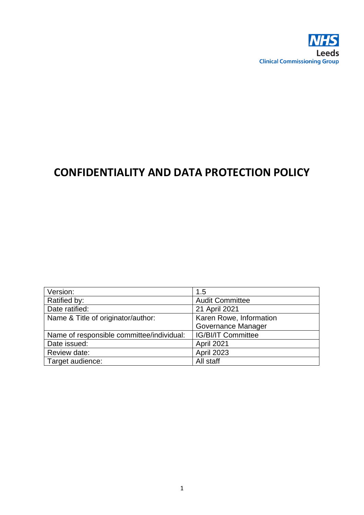

# **CONFIDENTIALITY AND DATA PROTECTION POLICY**

| Version:                                  | 1.5                       |
|-------------------------------------------|---------------------------|
| Ratified by:                              | <b>Audit Committee</b>    |
| Date ratified:                            | 21 April 2021             |
| Name & Title of originator/author:        | Karen Rowe, Information   |
|                                           | Governance Manager        |
| Name of responsible committee/individual: | <b>IG/BI/IT Committee</b> |
| Date issued:                              | April 2021                |
| Review date:                              | <b>April 2023</b>         |
| Target audience:                          | All staff                 |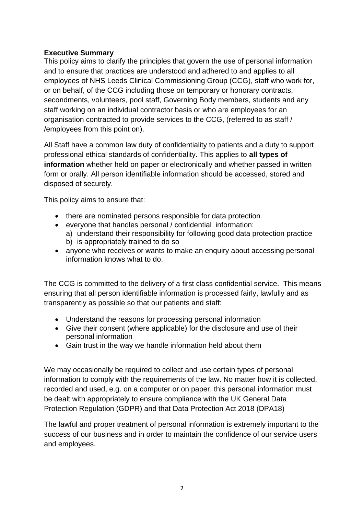## **Executive Summary**

This policy aims to clarify the principles that govern the use of personal information and to ensure that practices are understood and adhered to and applies to all employees of NHS Leeds Clinical Commissioning Group (CCG), staff who work for, or on behalf, of the CCG including those on temporary or honorary contracts, secondments, volunteers, pool staff, Governing Body members, students and any staff working on an individual contractor basis or who are employees for an organisation contracted to provide services to the CCG, (referred to as staff / /employees from this point on).

All Staff have a common law duty of confidentiality to patients and a duty to support professional ethical standards of confidentiality. This applies to **all types of information** whether held on paper or electronically and whether passed in written form or orally. All person identifiable information should be accessed, stored and disposed of securely.

This policy aims to ensure that:

- there are nominated persons responsible for data protection
- everyone that handles personal / confidential information:
	- a) understand their responsibility for following good data protection practice b) is appropriately trained to do so
- anyone who receives or wants to make an enquiry about accessing personal information knows what to do.

The CCG is committed to the delivery of a first class confidential service. This means ensuring that all person identifiable information is processed fairly, lawfully and as transparently as possible so that our patients and staff:

- Understand the reasons for processing personal information
- Give their consent (where applicable) for the disclosure and use of their personal information
- Gain trust in the way we handle information held about them

We may occasionally be required to collect and use certain types of personal information to comply with the requirements of the law. No matter how it is collected, recorded and used, e.g. on a computer or on paper, this personal information must be dealt with appropriately to ensure compliance with the UK General Data Protection Regulation (GDPR) and that Data Protection Act 2018 (DPA18)

The lawful and proper treatment of personal information is extremely important to the success of our business and in order to maintain the confidence of our service users and employees.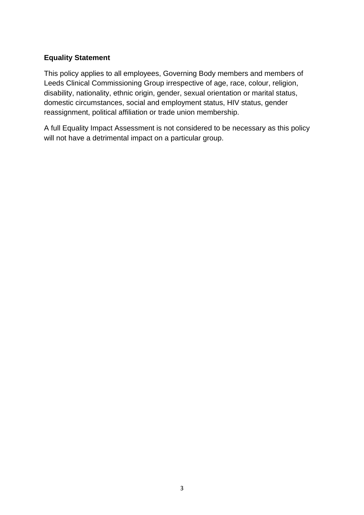## **Equality Statement**

This policy applies to all employees, Governing Body members and members of Leeds Clinical Commissioning Group irrespective of age, race, colour, religion, disability, nationality, ethnic origin, gender, sexual orientation or marital status, domestic circumstances, social and employment status, HIV status, gender reassignment, political affiliation or trade union membership.

A full Equality Impact Assessment is not considered to be necessary as this policy will not have a detrimental impact on a particular group.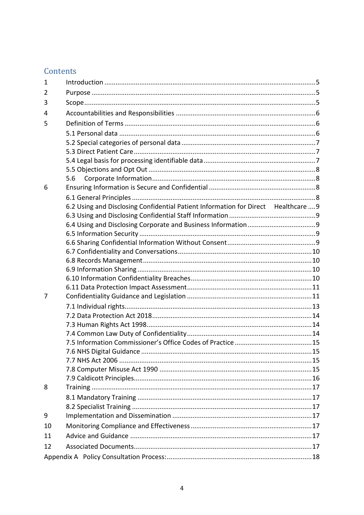## Contents

| $\mathbf{1}$ |                                                                                    |  |
|--------------|------------------------------------------------------------------------------------|--|
| 2            |                                                                                    |  |
| 3            |                                                                                    |  |
| 4            |                                                                                    |  |
| 5            |                                                                                    |  |
|              |                                                                                    |  |
|              |                                                                                    |  |
|              |                                                                                    |  |
|              |                                                                                    |  |
|              |                                                                                    |  |
|              | 5.6                                                                                |  |
| 6            |                                                                                    |  |
|              |                                                                                    |  |
|              | 6.2 Using and Disclosing Confidential Patient Information for Direct Healthcare  9 |  |
|              |                                                                                    |  |
|              |                                                                                    |  |
|              |                                                                                    |  |
|              |                                                                                    |  |
|              |                                                                                    |  |
|              |                                                                                    |  |
|              |                                                                                    |  |
|              |                                                                                    |  |
|              |                                                                                    |  |
| 7            |                                                                                    |  |
|              |                                                                                    |  |
|              |                                                                                    |  |
|              |                                                                                    |  |
|              |                                                                                    |  |
|              |                                                                                    |  |
|              |                                                                                    |  |
|              |                                                                                    |  |
|              |                                                                                    |  |
| 8            |                                                                                    |  |
|              |                                                                                    |  |
|              |                                                                                    |  |
|              |                                                                                    |  |
| 9            |                                                                                    |  |
| 10           |                                                                                    |  |
| 11           |                                                                                    |  |
| 12           |                                                                                    |  |
|              |                                                                                    |  |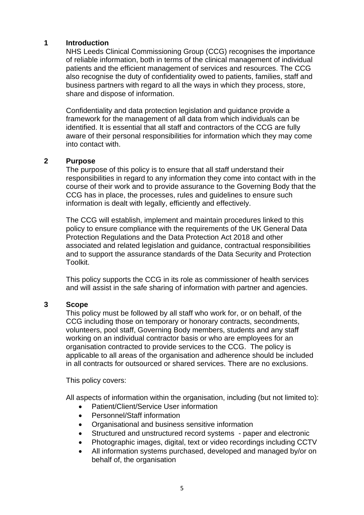#### <span id="page-4-0"></span>**1 Introduction**

NHS Leeds Clinical Commissioning Group (CCG) recognises the importance of reliable information, both in terms of the clinical management of individual patients and the efficient management of services and resources. The CCG also recognise the duty of confidentiality owed to patients, families, staff and business partners with regard to all the ways in which they process, store, share and dispose of information.

Confidentiality and data protection legislation and guidance provide a framework for the management of all data from which individuals can be identified. It is essential that all staff and contractors of the CCG are fully aware of their personal responsibilities for information which they may come into contact with.

#### <span id="page-4-1"></span>**2 Purpose**

The purpose of this policy is to ensure that all staff understand their responsibilities in regard to any information they come into contact with in the course of their work and to provide assurance to the Governing Body that the CCG has in place, the processes, rules and guidelines to ensure such information is dealt with legally, efficiently and effectively.

The CCG will establish, implement and maintain procedures linked to this policy to ensure compliance with the requirements of the UK General Data Protection Regulations and the Data Protection Act 2018 and other associated and related legislation and guidance, contractual responsibilities and to support the assurance standards of the Data Security and Protection Toolkit.

This policy supports the CCG in its role as commissioner of health services and will assist in the safe sharing of information with partner and agencies.

#### <span id="page-4-2"></span>**3 Scope**

This policy must be followed by all staff who work for, or on behalf, of the CCG including those on temporary or honorary contracts, secondments, volunteers, pool staff, Governing Body members, students and any staff working on an individual contractor basis or who are employees for an organisation contracted to provide services to the CCG. The policy is applicable to all areas of the organisation and adherence should be included in all contracts for outsourced or shared services. There are no exclusions.

This policy covers:

All aspects of information within the organisation, including (but not limited to):

- Patient/Client/Service User information
- Personnel/Staff information
- Organisational and business sensitive information
- Structured and unstructured record systems paper and electronic
- Photographic images, digital, text or video recordings including CCTV
- All information systems purchased, developed and managed by/or on behalf of, the organisation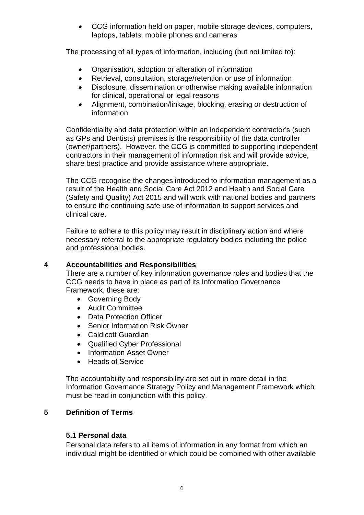• CCG information held on paper, mobile storage devices, computers, laptops, tablets, mobile phones and cameras

The processing of all types of information, including (but not limited to):

- Organisation, adoption or alteration of information
- Retrieval, consultation, storage/retention or use of information
- Disclosure, dissemination or otherwise making available information for clinical, operational or legal reasons
- Alignment, combination/linkage, blocking, erasing or destruction of information

Confidentiality and data protection within an independent contractor's (such as GPs and Dentists) premises is the responsibility of the data controller (owner/partners). However, the CCG is committed to supporting independent contractors in their management of information risk and will provide advice, share best practice and provide assistance where appropriate.

The CCG recognise the changes introduced to information management as a result of the Health and Social Care Act 2012 and Health and Social Care (Safety and Quality) Act 2015 and will work with national bodies and partners to ensure the continuing safe use of information to support services and clinical care.

Failure to adhere to this policy may result in disciplinary action and where necessary referral to the appropriate regulatory bodies including the police and professional bodies.

## <span id="page-5-0"></span>**4 Accountabilities and Responsibilities**

There are a number of key information governance roles and bodies that the CCG needs to have in place as part of its Information Governance Framework, these are:

- Governing Body
- Audit Committee
- Data Protection Officer
- Senior Information Risk Owner
- Caldicott Guardian
- Qualified Cyber Professional
- Information Asset Owner
- Heads of Service

The accountability and responsibility are set out in more detail in the Information Governance Strategy Policy and Management Framework which must be read in conjunction with this policy.

## <span id="page-5-1"></span>**5 Definition of Terms**

## <span id="page-5-2"></span>**5.1 Personal data**

Personal data refers to all items of information in any format from which an individual might be identified or which could be combined with other available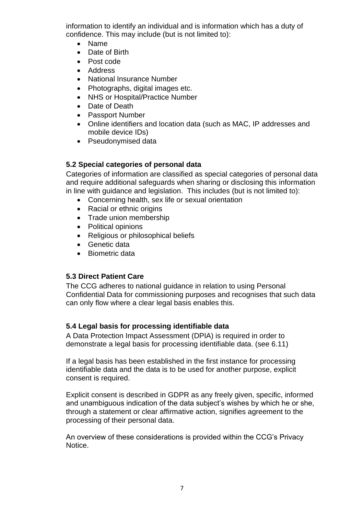information to identify an individual and is information which has a duty of confidence. This may include (but is not limited to):

- Name
- Date of Birth
- Post code
- Address
- National Insurance Number
- Photographs, digital images etc.
- NHS or Hospital/Practice Number
- Date of Death
- Passport Number
- Online identifiers and location data (such as MAC, IP addresses and mobile device IDs)
- Pseudonymised data

#### <span id="page-6-0"></span>**5.2 Special categories of personal data**

Categories of information are classified as special categories of personal data and require additional safeguards when sharing or disclosing this information in line with guidance and legislation. This includes (but is not limited to):

- Concerning health, sex life or sexual orientation
- Racial or ethnic origins
- Trade union membership
- Political opinions
- Religious or philosophical beliefs
- Genetic data
- Biometric data

## <span id="page-6-1"></span>**5.3 Direct Patient Care**

The CCG adheres to national guidance in relation to using Personal Confidential Data for commissioning purposes and recognises that such data can only flow where a clear legal basis enables this.

#### <span id="page-6-2"></span>**5.4 Legal basis for processing identifiable data**

A Data Protection Impact Assessment (DPIA) is required in order to demonstrate a legal basis for processing identifiable data. (see 6.11)

If a legal basis has been established in the first instance for processing identifiable data and the data is to be used for another purpose, explicit consent is required.

Explicit consent is described in GDPR as any freely given, specific, informed and unambiguous indication of the data subject's wishes by which he or she, through a statement or clear affirmative action, signifies agreement to the processing of their personal data.

An overview of these considerations is provided within the CCG's Privacy Notice.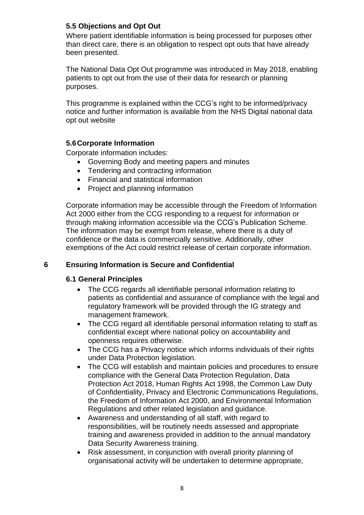## <span id="page-7-0"></span>**5.5 Objections and Opt Out**

Where patient identifiable information is being processed for purposes other than direct care, there is an obligation to respect opt outs that have already been presented.

The National Data Opt Out programme was introduced in May 2018, enabling patients to opt out from the use of their data for research or planning purposes.

This programme is explained within the CCG's right to be informed/privacy notice and further information is available from the NHS Digital national data opt out website

## <span id="page-7-1"></span>**5.6Corporate Information**

Corporate information includes:

- Governing Body and meeting papers and minutes
- Tendering and contracting information
- Financial and statistical information
- Project and planning information

Corporate information may be accessible through the Freedom of Information Act 2000 either from the CCG responding to a request for information or through making information accessible via the CCG's Publication Scheme. The information may be exempt from release, where there is a duty of confidence or the data is commercially sensitive. Additionally, other exemptions of the Act could restrict release of certain corporate information.

## <span id="page-7-2"></span>**6 Ensuring Information is Secure and Confidential**

#### <span id="page-7-3"></span>**6.1 General Principles**

- The CCG regards all identifiable personal information relating to patients as confidential and assurance of compliance with the legal and regulatory framework will be provided through the IG strategy and management framework.
- The CCG regard all identifiable personal information relating to staff as confidential except where national policy on accountability and openness requires otherwise.
- The CCG has a Privacy notice which informs individuals of their rights under Data Protection legislation.
- The CCG will establish and maintain policies and procedures to ensure compliance with the General Data Protection Regulation, Data Protection Act 2018, Human Rights Act 1998, the Common Law Duty of Confidentiality, Privacy and Electronic Communications Regulations, the Freedom of Information Act 2000, and Environmental Information Regulations and other related legislation and guidance.
- Awareness and understanding of all staff, with regard to responsibilities, will be routinely needs assessed and appropriate training and awareness provided in addition to the annual mandatory Data Security Awareness training.
- Risk assessment, in conjunction with overall priority planning of organisational activity will be undertaken to determine appropriate,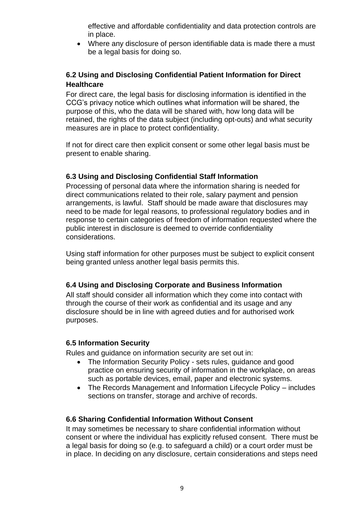effective and affordable confidentiality and data protection controls are in place.

• Where any disclosure of person identifiable data is made there a must be a legal basis for doing so.

## <span id="page-8-0"></span>**6.2 Using and Disclosing Confidential Patient Information for Direct Healthcare**

For direct care, the legal basis for disclosing information is identified in the CCG's privacy notice which outlines what information will be shared, the purpose of this, who the data will be shared with, how long data will be retained, the rights of the data subject (including opt-outs) and what security measures are in place to protect confidentiality.

If not for direct care then explicit consent or some other legal basis must be present to enable sharing.

## <span id="page-8-1"></span>**6.3 Using and Disclosing Confidential Staff Information**

Processing of personal data where the information sharing is needed for direct communications related to their role, salary payment and pension arrangements, is lawful. Staff should be made aware that disclosures may need to be made for legal reasons, to professional regulatory bodies and in response to certain categories of freedom of information requested where the public interest in disclosure is deemed to override confidentiality considerations.

Using staff information for other purposes must be subject to explicit consent being granted unless another legal basis permits this.

## <span id="page-8-2"></span>**6.4 Using and Disclosing Corporate and Business Information**

All staff should consider all information which they come into contact with through the course of their work as confidential and its usage and any disclosure should be in line with agreed duties and for authorised work purposes.

## <span id="page-8-3"></span>**6.5 Information Security**

Rules and guidance on information security are set out in:

- The Information Security Policy sets rules, guidance and good practice on ensuring security of information in the workplace, on areas such as portable devices, email, paper and electronic systems.
- The Records Management and Information Lifecycle Policy includes sections on transfer, storage and archive of records.

## <span id="page-8-4"></span>**6.6 Sharing Confidential Information Without Consent**

It may sometimes be necessary to share confidential information without consent or where the individual has explicitly refused consent. There must be a legal basis for doing so (e.g. to safeguard a child) or a court order must be in place. In deciding on any disclosure, certain considerations and steps need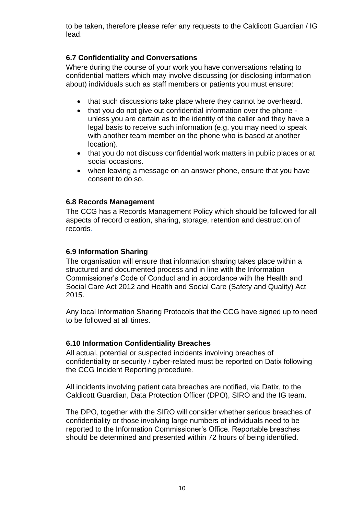to be taken, therefore please refer any requests to the Caldicott Guardian / IG lead.

## <span id="page-9-0"></span>**6.7 Confidentiality and Conversations**

Where during the course of your work you have conversations relating to confidential matters which may involve discussing (or disclosing information about) individuals such as staff members or patients you must ensure:

- that such discussions take place where they cannot be overheard.
- that you do not give out confidential information over the phone unless you are certain as to the identity of the caller and they have a legal basis to receive such information (e.g. you may need to speak with another team member on the phone who is based at another location).
- that you do not discuss confidential work matters in public places or at social occasions.
- when leaving a message on an answer phone, ensure that you have consent to do so.

#### <span id="page-9-1"></span>**6.8 Records Management**

The CCG has a Records Management Policy which should be followed for all aspects of record creation, sharing, storage, retention and destruction of records.

#### <span id="page-9-2"></span>**6.9 Information Sharing**

The organisation will ensure that information sharing takes place within a structured and documented process and in line with the Information Commissioner's Code of Conduct and in accordance with the Health and Social Care Act 2012 and Health and Social Care (Safety and Quality) Act 2015.

Any local Information Sharing Protocols that the CCG have signed up to need to be followed at all times.

#### <span id="page-9-3"></span>**6.10 Information Confidentiality Breaches**

All actual, potential or suspected incidents involving breaches of confidentiality or security / cyber-related must be reported on Datix following the CCG Incident Reporting procedure.

All incidents involving patient data breaches are notified, via Datix, to the Caldicott Guardian, Data Protection Officer (DPO), SIRO and the IG team.

The DPO, together with the SIRO will consider whether serious breaches of confidentiality or those involving large numbers of individuals need to be reported to the Information Commissioner's Office. Reportable breaches should be determined and presented within 72 hours of being identified.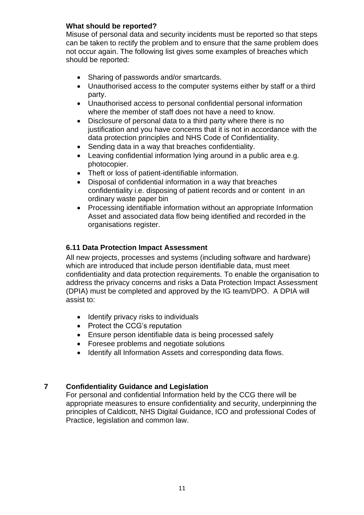#### **What should be reported?**

Misuse of personal data and security incidents must be reported so that steps can be taken to rectify the problem and to ensure that the same problem does not occur again. The following list gives some examples of breaches which should be reported:

- Sharing of passwords and/or smartcards.
- Unauthorised access to the computer systems either by staff or a third party.
- Unauthorised access to personal confidential personal information where the member of staff does not have a need to know.
- Disclosure of personal data to a third party where there is no justification and you have concerns that it is not in accordance with the data protection principles and NHS Code of Confidentiality.
- Sending data in a way that breaches confidentiality.
- Leaving confidential information lying around in a public area e.g. photocopier.
- Theft or loss of patient-identifiable information.
- Disposal of confidential information in a way that breaches confidentiality i.e. disposing of patient records and or content in an ordinary waste paper bin
- Processing identifiable information without an appropriate Information Asset and associated data flow being identified and recorded in the organisations register.

## <span id="page-10-0"></span>**6.11 Data Protection Impact Assessment**

All new projects, processes and systems (including software and hardware) which are introduced that include person identifiable data, must meet confidentiality and data protection requirements. To enable the organisation to address the privacy concerns and risks a Data Protection Impact Assessment (DPIA) must be completed and approved by the IG team/DPO. A DPIA will assist to:

- Identify privacy risks to individuals
- Protect the CCG's reputation
- Ensure person identifiable data is being processed safely
- Foresee problems and negotiate solutions
- Identify all Information Assets and corresponding data flows.

## <span id="page-10-1"></span>**7 Confidentiality Guidance and Legislation**

For personal and confidential Information held by the CCG there will be appropriate measures to ensure confidentiality and security, underpinning the principles of Caldicott, NHS Digital Guidance, ICO and professional Codes of Practice, legislation and common law.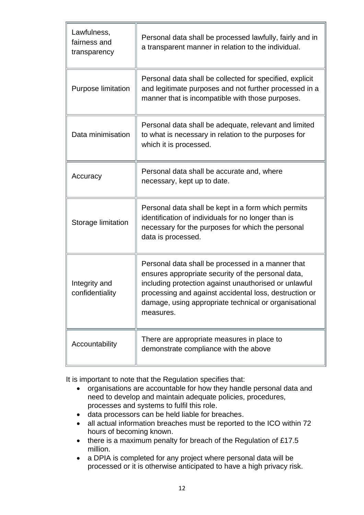| Lawfulness,<br>fairness and<br>transparency | Personal data shall be processed lawfully, fairly and in<br>a transparent manner in relation to the individual.                                                                                                                                                                                  |
|---------------------------------------------|--------------------------------------------------------------------------------------------------------------------------------------------------------------------------------------------------------------------------------------------------------------------------------------------------|
| <b>Purpose limitation</b>                   | Personal data shall be collected for specified, explicit<br>and legitimate purposes and not further processed in a<br>manner that is incompatible with those purposes.                                                                                                                           |
| Data minimisation                           | Personal data shall be adequate, relevant and limited<br>to what is necessary in relation to the purposes for<br>which it is processed.                                                                                                                                                          |
| Accuracy                                    | Personal data shall be accurate and, where<br>necessary, kept up to date.                                                                                                                                                                                                                        |
| Storage limitation                          | Personal data shall be kept in a form which permits<br>identification of individuals for no longer than is<br>necessary for the purposes for which the personal<br>data is processed.                                                                                                            |
| Integrity and<br>confidentiality            | Personal data shall be processed in a manner that<br>ensures appropriate security of the personal data,<br>including protection against unauthorised or unlawful<br>processing and against accidental loss, destruction or<br>damage, using appropriate technical or organisational<br>measures. |
| Accountability                              | There are appropriate measures in place to<br>demonstrate compliance with the above                                                                                                                                                                                                              |

It is important to note that the Regulation specifies that:

- organisations are accountable for how they handle personal data and need to develop and maintain adequate policies, procedures, processes and systems to fulfil this role.
- data processors can be held liable for breaches.
- all actual information breaches must be reported to the ICO within 72 hours of becoming known.
- there is a maximum penalty for breach of the Regulation of £17.5 million.
- a DPIA is completed for any project where personal data will be processed or it is otherwise anticipated to have a high privacy risk.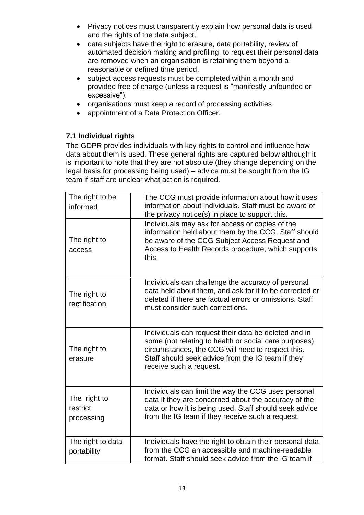- Privacy notices must transparently explain how personal data is used and the rights of the data subject.
- data subjects have the right to erasure, data portability, review of automated decision making and profiling, to request their personal data are removed when an organisation is retaining them beyond a reasonable or defined time period.
- subject access requests must be completed within a month and provided free of charge (unless a request is "manifestly unfounded or excessive").
- organisations must keep a record of processing activities.
- appointment of a Data Protection Officer.

## <span id="page-12-0"></span> **7.1 Individual rights**

The GDPR provides individuals with key rights to control and influence how data about them is used. These general rights are captured below although it is important to note that they are not absolute (they change depending on the legal basis for processing being used) – advice must be sought from the IG team if staff are unclear what action is required.

| The right to be<br>informed            | The CCG must provide information about how it uses<br>information about individuals. Staff must be aware of<br>the privacy notice(s) in place to support this.                                                                                     |
|----------------------------------------|----------------------------------------------------------------------------------------------------------------------------------------------------------------------------------------------------------------------------------------------------|
| The right to<br>access                 | Individuals may ask for access or copies of the<br>information held about them by the CCG. Staff should<br>be aware of the CCG Subject Access Request and<br>Access to Health Records procedure, which supports<br>this.                           |
| The right to<br>rectification          | Individuals can challenge the accuracy of personal<br>data held about them, and ask for it to be corrected or<br>deleted if there are factual errors or omissions. Staff<br>must consider such corrections.                                        |
| The right to<br>erasure                | Individuals can request their data be deleted and in<br>some (not relating to health or social care purposes)<br>circumstances, the CCG will need to respect this.<br>Staff should seek advice from the IG team if they<br>receive such a request. |
| The right to<br>restrict<br>processing | Individuals can limit the way the CCG uses personal<br>data if they are concerned about the accuracy of the<br>data or how it is being used. Staff should seek advice<br>from the IG team if they receive such a request.                          |
| The right to data<br>portability       | Individuals have the right to obtain their personal data<br>from the CCG an accessible and machine-readable<br>format. Staff should seek advice from the IG team if                                                                                |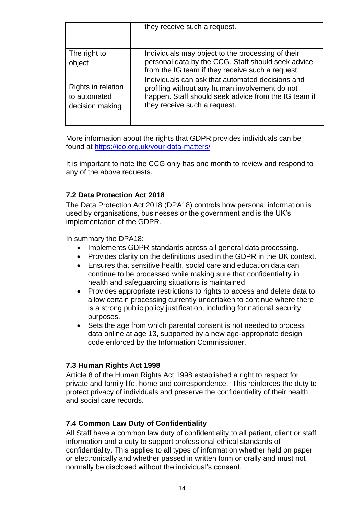|                                                       | they receive such a request.                                                                                                                                                               |
|-------------------------------------------------------|--------------------------------------------------------------------------------------------------------------------------------------------------------------------------------------------|
| The right to<br>object                                | Individuals may object to the processing of their<br>personal data by the CCG. Staff should seek advice<br>from the IG team if they receive such a request.                                |
| Rights in relation<br>to automated<br>decision making | Individuals can ask that automated decisions and<br>profiling without any human involvement do not<br>happen. Staff should seek advice from the IG team if<br>they receive such a request. |

More information about the rights that GDPR provides individuals can be found at<https://ico.org.uk/your-data-matters/>

It is important to note the CCG only has one month to review and respond to any of the above requests.

## <span id="page-13-0"></span>**7.2 Data Protection Act 2018**

The Data Protection Act 2018 (DPA18) controls how personal information is used by organisations, businesses or the government and is the UK's implementation of the GDPR.

In summary the DPA18:

- Implements GDPR standards across all general data processing.
- Provides clarity on the definitions used in the GDPR in the UK context.
- Ensures that sensitive health, social care and education data can continue to be processed while making sure that confidentiality in health and safeguarding situations is maintained.
- Provides appropriate restrictions to rights to access and delete data to allow certain processing currently undertaken to continue where there is a strong public policy justification, including for national security purposes.
- Sets the age from which parental consent is not needed to process data online at age 13, supported by a new age-appropriate design code enforced by the Information Commissioner.

## <span id="page-13-1"></span>**7.3 Human Rights Act 1998**

Article 8 of the Human Rights Act 1998 established a right to respect for private and family life, home and correspondence. This reinforces the duty to protect privacy of individuals and preserve the confidentiality of their health and social care records.

## <span id="page-13-2"></span>**7.4 Common Law Duty of Confidentiality**

All Staff have a common law duty of confidentiality to all patient, client or staff information and a duty to support professional ethical standards of confidentiality. This applies to all types of information whether held on paper or electronically and whether passed in written form or orally and must not normally be disclosed without the individual's consent.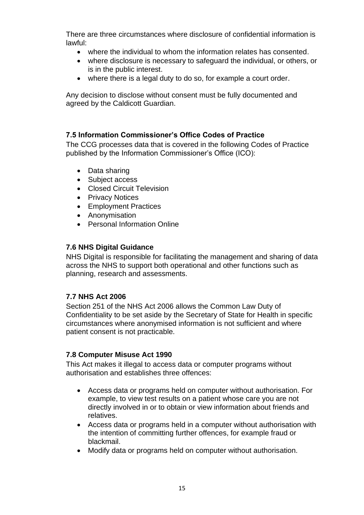There are three circumstances where disclosure of confidential information is lawful:

- where the individual to whom the information relates has consented.
- where disclosure is necessary to safeguard the individual, or others, or is in the public interest.
- where there is a legal duty to do so, for example a court order.

Any decision to disclose without consent must be fully documented and agreed by the Caldicott Guardian.

#### <span id="page-14-0"></span>**7.5 Information Commissioner's Office Codes of Practice**

The CCG processes data that is covered in the following Codes of Practice published by the Information Commissioner's Office (ICO):

- Data sharing
- Subject access
- Closed Circuit Television
- Privacy Notices
- Employment Practices
- Anonymisation
- Personal Information Online

#### <span id="page-14-1"></span>**7.6 NHS Digital Guidance**

NHS Digital is responsible for facilitating the management and sharing of data across the NHS to support both operational and other functions such as planning, research and assessments.

#### <span id="page-14-2"></span>**7.7 NHS Act 2006**

Section 251 of the NHS Act 2006 allows the Common Law Duty of Confidentiality to be set aside by the Secretary of State for Health in specific circumstances where anonymised information is not sufficient and where patient consent is not practicable.

#### <span id="page-14-3"></span>**7.8 Computer Misuse Act 1990**

This Act makes it illegal to access data or computer programs without authorisation and establishes three offences:

- Access data or programs held on computer without authorisation. For example, to view test results on a patient whose care you are not directly involved in or to obtain or view information about friends and relatives.
- Access data or programs held in a computer without authorisation with the intention of committing further offences, for example fraud or blackmail.
- Modify data or programs held on computer without authorisation.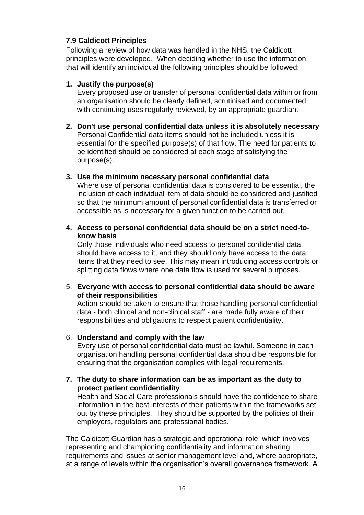## <span id="page-15-0"></span>**7.9 Caldicott Principles**

Following a review of how data was handled in the NHS, the Caldicott principles were developed. When deciding whether to use the information that will identify an individual the following principles should be followed:

#### **1. Justify the purpose(s)**

Every proposed use or transfer of personal confidential data within or from an organisation should be clearly defined, scrutinised and documented with continuing uses regularly reviewed, by an appropriate guardian.

- **2. Don't use personal confidential data unless it is absolutely necessary** Personal Confidential data items should not be included unless it is essential for the specified purpose(s) of that flow. The need for patients to be identified should be considered at each stage of satisfying the purpose(s).
- **3. Use the minimum necessary personal confidential data** Where use of personal confidential data is considered to be essential, the inclusion of each individual item of data should be considered and justified so that the minimum amount of personal confidential data is transferred or accessible as is necessary for a given function to be carried out.
- **4. Access to personal confidential data should be on a strict need-toknow basis**

Only those individuals who need access to personal confidential data should have access to it, and they should only have access to the data items that they need to see. This may mean introducing access controls or splitting data flows where one data flow is used for several purposes.

5. **Everyone with access to personal confidential data should be aware of their responsibilities**

Action should be taken to ensure that those handling personal confidential data - both clinical and non-clinical staff - are made fully aware of their responsibilities and obligations to respect patient confidentiality.

## 6. **Understand and comply with the law**

Every use of personal confidential data must be lawful. Someone in each organisation handling personal confidential data should be responsible for ensuring that the organisation complies with legal requirements.

**7. The duty to share information can be as important as the duty to protect patient confidentiality**

Health and Social Care professionals should have the confidence to share information in the best interests of their patients within the frameworks set out by these principles. They should be supported by the policies of their employers, regulators and professional bodies.

The Caldicott Guardian has a strategic and operational role, which involves representing and championing confidentiality and information sharing requirements and issues at senior management level and, where appropriate, at a range of levels within the organisation's overall governance framework. A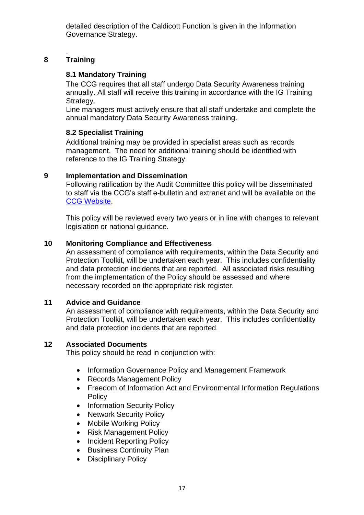detailed description of the Caldicott Function is given in the Information Governance Strategy.

#### <span id="page-16-0"></span>. **8 Training**

## <span id="page-16-1"></span>**8.1 Mandatory Training**

The CCG requires that all staff undergo Data Security Awareness training annually. All staff will receive this training in accordance with the IG Training Strategy.

Line managers must actively ensure that all staff undertake and complete the annual mandatory Data Security Awareness training.

## <span id="page-16-2"></span>**8.2 Specialist Training**

Additional training may be provided in specialist areas such as records management. The need for additional training should be identified with reference to the IG Training Strategy.

## <span id="page-16-3"></span>**9 Implementation and Dissemination**

Following ratification by the Audit Committee this policy will be disseminated to staff via the CCG's staff e-bulletin and extranet and will be available on the [CCG Website.](file:///C:/Users/RoweK01/Desktop/CCg%20Websitehttps:/www.leedsccg.nhs.uk/about/policies/organisational-policies/)

This policy will be reviewed every two years or in line with changes to relevant legislation or national guidance.

## <span id="page-16-4"></span>**10 Monitoring Compliance and Effectiveness**

An assessment of compliance with requirements, within the Data Security and Protection Toolkit, will be undertaken each year. This includes confidentiality and data protection incidents that are reported. All associated risks resulting from the implementation of the Policy should be assessed and where necessary recorded on the appropriate risk register.

## <span id="page-16-5"></span>**11 Advice and Guidance**

An assessment of compliance with requirements, within the Data Security and Protection Toolkit, will be undertaken each year. This includes confidentiality and data protection incidents that are reported.

## <span id="page-16-6"></span>**12 Associated Documents**

This policy should be read in conjunction with:

- Information Governance Policy and Management Framework
- Records Management Policy
- Freedom of Information Act and Environmental Information Regulations **Policy**
- Information Security Policy
- Network Security Policy
- Mobile Working Policy
- Risk Management Policy
- Incident Reporting Policy
- Business Continuity Plan
- Disciplinary Policy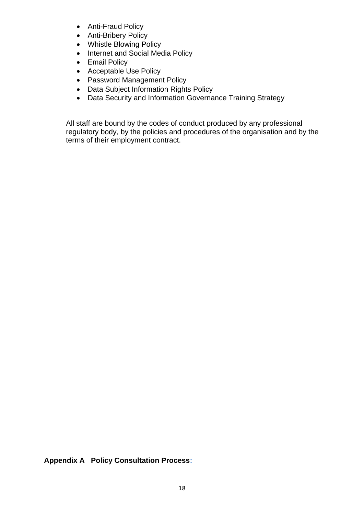- Anti-Fraud Policy
- Anti-Bribery Policy
- Whistle Blowing Policy
- Internet and Social Media Policy
- Email Policy
- Acceptable Use Policy
- Password Management Policy
- Data Subject Information Rights Policy
- Data Security and Information Governance Training Strategy

<span id="page-17-0"></span>All staff are bound by the codes of conduct produced by any professional regulatory body, by the policies and procedures of the organisation and by the terms of their employment contract.